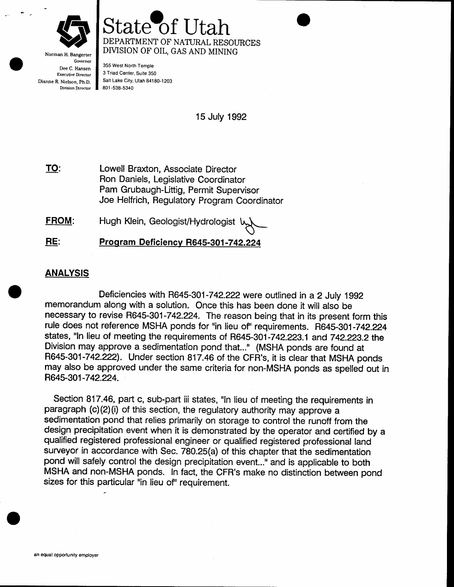

## ate o DEPARTMENT OF NATURAL RESOIJRCES DMSION OF OIL, GAS AND MINING

Governor Dee C. Hansen Executive Director Dianne R. Nielson, Ph.D. Division Director

355 West North Temple 3 Triad Center, Suite 350 Salt Lake City, Utah 84180-1203 801 -538-s340

15 July 1992

Lowell Braxton, Associate Director Ron Daniels, Legislative Coordinator Pam Grubaugh-Littig, Permit Supervisor Joe Helfrich, Regulatory Program Coordinator TO:

Hugh Klein, Geologist/Hydrologist  $\mathcal{L}$ FROM:

Program Deficiency R645-301-742.224 RE:

## **ANALYSIS**

Deficiencies with H645-301-742.222were outlined in a 2 July 1992 memorandum along with a solution. Once this has been done it will also be necessary to revise R645-301-742.224. The reason being that in its present form this rule does not reference MSHA ponds for "in lieu of" requirements. R645-301-742.224 states, "In lieu of meeting the requirements of R645-301-742.223.1 and 742.223.2 the Division may approve a sedimentation pond that..." (MSHA ponds are found at R645-301-742.222). Under section 817.46 of the CFR's, it is clear that MSHA ponds may also be approved under the same criteria for non-MSHA ponds as spelled out in H645-301-742.224.

Section 817.46, part c, sub-part iii states, "In lieu of meeting the requirements in paragraph (c)(2)(i) of this section, the regulatory authority may approve a sedimentation pond that relies primarily on storage to control the runoff from the design precipitation event when it is demonstrated by the operator and certified by a qualified registered professional engineer or qualified registered professional land surveyor in accordance with Sec. 780.25(a) of this chapter that the sedimentation pond will safely control the design precipitation event..." and is applicable to both MSHA and non-MSHA ponds. In fact, the CFR's make no distinction between pond sizes for this particular "in lieu of" requirement.